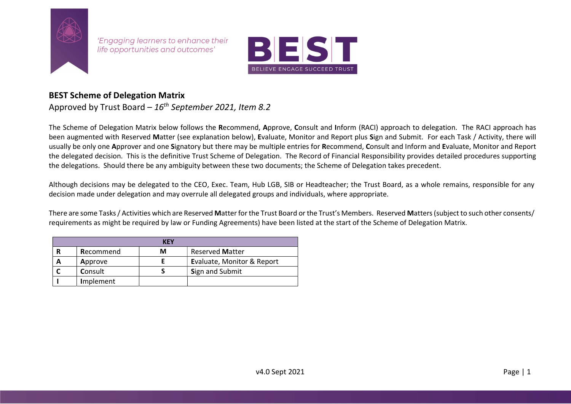

'Engaging learners to enhance their life opportunities and outcomes'



## BEST Scheme of Delegation Matrix

Approved by Trust Board –  $16<sup>th</sup>$  September 2021, Item 8.2

The Scheme of Delegation Matrix below follows the Recommend, Approve, Consult and Inform (RACI) approach to delegation. The RACI approach has been augmented with Reserved Matter (see explanation below), Evaluate, Monitor and Report plus Sign and Submit. For each Task / Activity, there will usually be only one Approver and one Signatory but there may be multiple entries for Recommend, Consult and Inform and Evaluate, Monitor and Report the delegated decision. This is the definitive Trust Scheme of Delegation. The Record of Financial Responsibility provides detailed procedures supporting the delegations. Should there be any ambiguity between these two documents; the Scheme of Delegation takes precedent.

Although decisions may be delegated to the CEO, Exec. Team, Hub LGB, SIB or Headteacher; the Trust Board, as a whole remains, responsible for any decision made under delegation and may overrule all delegated groups and individuals, where appropriate.

There are some Tasks / Activities which are Reserved Matter for the Trust Board or the Trust's Members. Reserved Matters (subject to such other consents/ requirements as might be required by law or Funding Agreements) have been listed at the start of the Scheme of Delegation Matrix.

|           | <b>KEY</b> |                            |
|-----------|------------|----------------------------|
| Recommend | м          | <b>Reserved Matter</b>     |
| Approve   |            | Evaluate, Monitor & Report |
| Consult   |            | Sign and Submit            |
| Implement |            |                            |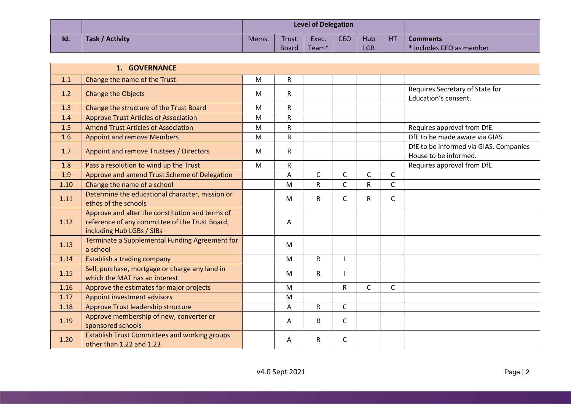|     |                 |       |       | <b>Level of Delegation</b> |            |            |    |                             |
|-----|-----------------|-------|-------|----------------------------|------------|------------|----|-----------------------------|
| Id. | Task / Activity | Mems. | Trust | Exec.                      | <b>CEO</b> | Hub        | HT | <b>Comments</b>             |
|     |                 |       | Board | Team <sup>*</sup>          |            | <b>LGB</b> |    | $^*$ includes CEO as member |

|      | 1. GOVERNANCE                                                                                                                  |   |                |              |              |              |              |                                                                 |
|------|--------------------------------------------------------------------------------------------------------------------------------|---|----------------|--------------|--------------|--------------|--------------|-----------------------------------------------------------------|
| 1.1  | Change the name of the Trust                                                                                                   | M | $\mathsf{R}$   |              |              |              |              |                                                                 |
| 1.2  | <b>Change the Objects</b>                                                                                                      | M | R              |              |              |              |              | Requires Secretary of State for<br>Education's consent.         |
| 1.3  | Change the structure of the Trust Board                                                                                        | M | R              |              |              |              |              |                                                                 |
| 1.4  | <b>Approve Trust Articles of Association</b>                                                                                   | M | $\mathsf{R}$   |              |              |              |              |                                                                 |
| 1.5  | <b>Amend Trust Articles of Association</b>                                                                                     | M | $\mathsf{R}$   |              |              |              |              | Requires approval from DfE.                                     |
| 1.6  | <b>Appoint and remove Members</b>                                                                                              | M | $\mathsf{R}$   |              |              |              |              | DfE to be made aware via GIAS.                                  |
| 1.7  | Appoint and remove Trustees / Directors                                                                                        | M | $\mathsf{R}$   |              |              |              |              | DfE to be informed via GIAS. Companies<br>House to be informed. |
| 1.8  | Pass a resolution to wind up the Trust                                                                                         | M | $\mathsf{R}$   |              |              |              |              | Requires approval from DfE.                                     |
| 1.9  | Approve and amend Trust Scheme of Delegation                                                                                   |   | $\overline{A}$ | $\mathsf{C}$ | C            | $\mathsf{C}$ | $\mathsf{C}$ |                                                                 |
| 1.10 | Change the name of a school                                                                                                    |   | M              | R            | Ċ            | ${\sf R}$    | C            |                                                                 |
| 1.11 | Determine the educational character, mission or<br>ethos of the schools                                                        |   | M              | R            | $\mathsf C$  | $\mathsf R$  | C            |                                                                 |
| 1.12 | Approve and alter the constitution and terms of<br>reference of any committee of the Trust Board,<br>including Hub LGBs / SIBs |   | A              |              |              |              |              |                                                                 |
| 1.13 | Terminate a Supplemental Funding Agreement for<br>a school                                                                     |   | M              |              |              |              |              |                                                                 |
| 1.14 | Establish a trading company                                                                                                    |   | M              | R.           |              |              |              |                                                                 |
| 1.15 | Sell, purchase, mortgage or charge any land in<br>which the MAT has an interest                                                |   | M              | R.           |              |              |              |                                                                 |
| 1.16 | Approve the estimates for major projects                                                                                       |   | M              |              | R.           | $\mathsf{C}$ | $\mathsf{C}$ |                                                                 |
| 1.17 | Appoint investment advisors                                                                                                    |   | M              |              |              |              |              |                                                                 |
| 1.18 | Approve Trust leadership structure                                                                                             |   | A              | R            | $\mathsf{C}$ |              |              |                                                                 |
| 1.19 | Approve membership of new, converter or<br>sponsored schools                                                                   |   | A              | $\mathsf{R}$ | C            |              |              |                                                                 |
| 1.20 | <b>Establish Trust Committees and working groups</b><br>other than 1.22 and 1.23                                               |   | Α              | R            | C            |              |              |                                                                 |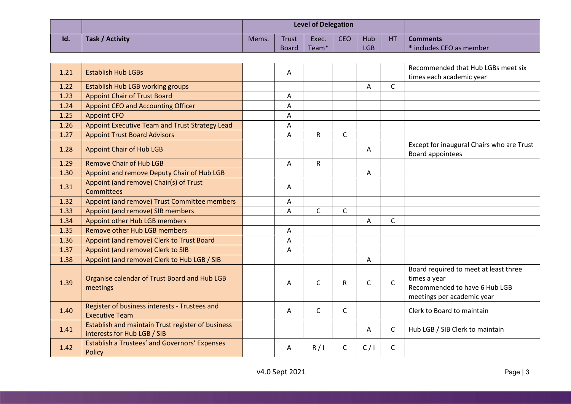|     |                 |       |              | <b>Level of Delegation</b> |            |            |    |                          |
|-----|-----------------|-------|--------------|----------------------------|------------|------------|----|--------------------------|
| Id. | Task / Activity | Mems. | Trust        | Exec.                      | <b>CEO</b> | Hub        | НT | <b>Comments</b>          |
|     |                 |       | <b>Board</b> | Team <sup>*</sup>          |            | <b>LGB</b> |    | * includes CEO as member |

| 1.21 | <b>Establish Hub LGBs</b>                                                        | A |              |              |              |              | Recommended that Hub LGBs meet six<br>times each academic year                                                       |
|------|----------------------------------------------------------------------------------|---|--------------|--------------|--------------|--------------|----------------------------------------------------------------------------------------------------------------------|
| 1.22 | <b>Establish Hub LGB working groups</b>                                          |   |              |              | A            | $\mathsf{C}$ |                                                                                                                      |
| 1.23 | <b>Appoint Chair of Trust Board</b>                                              | Α |              |              |              |              |                                                                                                                      |
| 1.24 | <b>Appoint CEO and Accounting Officer</b>                                        | A |              |              |              |              |                                                                                                                      |
| 1.25 | <b>Appoint CFO</b>                                                               | Α |              |              |              |              |                                                                                                                      |
| 1.26 | Appoint Executive Team and Trust Strategy Lead                                   | A |              |              |              |              |                                                                                                                      |
| 1.27 | <b>Appoint Trust Board Advisors</b>                                              | A | R            | $\mathsf{C}$ |              |              |                                                                                                                      |
| 1.28 | <b>Appoint Chair of Hub LGB</b>                                                  |   |              |              | A            |              | Except for inaugural Chairs who are Trust<br>Board appointees                                                        |
| 1.29 | <b>Remove Chair of Hub LGB</b>                                                   | A | $\mathsf{R}$ |              |              |              |                                                                                                                      |
| 1.30 | Appoint and remove Deputy Chair of Hub LGB                                       |   |              |              | A            |              |                                                                                                                      |
| 1.31 | Appoint (and remove) Chair(s) of Trust<br>Committees                             | A |              |              |              |              |                                                                                                                      |
| 1.32 | Appoint (and remove) Trust Committee members                                     | Α |              |              |              |              |                                                                                                                      |
| 1.33 | Appoint (and remove) SIB members                                                 | Α | $\mathsf{C}$ | $\mathsf{C}$ |              |              |                                                                                                                      |
| 1.34 | Appoint other Hub LGB members                                                    |   |              |              | A            | $\mathsf{C}$ |                                                                                                                      |
| 1.35 | Remove other Hub LGB members                                                     | Α |              |              |              |              |                                                                                                                      |
| 1.36 | Appoint (and remove) Clerk to Trust Board                                        | A |              |              |              |              |                                                                                                                      |
| 1.37 | Appoint (and remove) Clerk to SIB                                                | Α |              |              |              |              |                                                                                                                      |
| 1.38 | Appoint (and remove) Clerk to Hub LGB / SIB                                      |   |              |              | Α            |              |                                                                                                                      |
| 1.39 | Organise calendar of Trust Board and Hub LGB<br>meetings                         | A | $\mathsf{C}$ | R            | $\mathsf{C}$ | $\mathsf{C}$ | Board required to meet at least three<br>times a year<br>Recommended to have 6 Hub LGB<br>meetings per academic year |
| 1.40 | Register of business interests - Trustees and<br><b>Executive Team</b>           | A | C            | C            |              |              | Clerk to Board to maintain                                                                                           |
| 1.41 | Establish and maintain Trust register of business<br>interests for Hub LGB / SIB |   |              |              | Α            | $\mathsf{C}$ | Hub LGB / SIB Clerk to maintain                                                                                      |
| 1.42 | <b>Establish a Trustees' and Governors' Expenses</b><br>Policy                   | A | R/1          | C            | C/1          | C            |                                                                                                                      |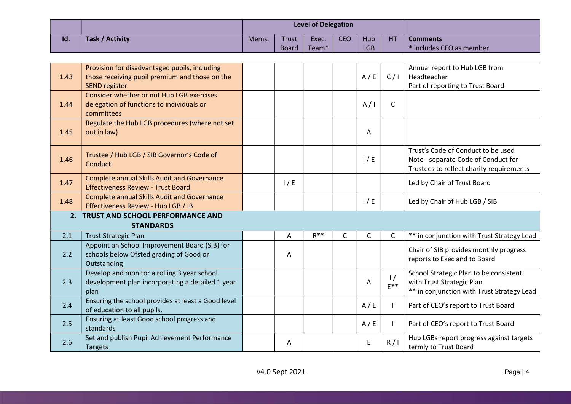|     |                 |       |              | <b>Level of Delegation</b> |            |            |    |                                     |
|-----|-----------------|-------|--------------|----------------------------|------------|------------|----|-------------------------------------|
| Id. | Task / Activity | Mems. | Trust        | Exec.                      | <b>CEO</b> | Hub        | HT | <b>Comments</b>                     |
|     |                 |       | <b>Board</b> | Team <sup>*</sup>          |            | <b>LGB</b> |    | <sup>*</sup> includes CEO as member |

| 1.43 | Provision for disadvantaged pupils, including<br>those receiving pupil premium and those on the<br><b>SEND register</b> |     |          |   | A/E          | C/I                       | Annual report to Hub LGB from<br>Headteacher<br>Part of reporting to Trust Board                                      |
|------|-------------------------------------------------------------------------------------------------------------------------|-----|----------|---|--------------|---------------------------|-----------------------------------------------------------------------------------------------------------------------|
| 1.44 | Consider whether or not Hub LGB exercises<br>delegation of functions to individuals or<br>committees                    |     |          |   | A/I          | $\mathsf{C}$              |                                                                                                                       |
| 1.45 | Regulate the Hub LGB procedures (where not set<br>out in law)                                                           |     |          |   | Α            |                           |                                                                                                                       |
| 1.46 | Trustee / Hub LGB / SIB Governor's Code of<br>Conduct                                                                   |     |          |   | 1/E          |                           | Trust's Code of Conduct to be used<br>Note - separate Code of Conduct for<br>Trustees to reflect charity requirements |
| 1.47 | <b>Complete annual Skills Audit and Governance</b><br><b>Effectiveness Review - Trust Board</b>                         | 1/E |          |   |              |                           | Led by Chair of Trust Board                                                                                           |
| 1.48 | <b>Complete annual Skills Audit and Governance</b><br>Effectiveness Review - Hub LGB / IB                               |     |          |   | 1/E          |                           | Led by Chair of Hub LGB / SIB                                                                                         |
|      | 2. TRUST AND SCHOOL PERFORMANCE AND                                                                                     |     |          |   |              |                           |                                                                                                                       |
|      | <b>STANDARDS</b>                                                                                                        |     |          |   |              |                           |                                                                                                                       |
|      |                                                                                                                         |     |          |   |              |                           |                                                                                                                       |
| 2.1  | <b>Trust Strategic Plan</b>                                                                                             | A   | $R^{**}$ | C | $\mathsf{C}$ | C                         | ** in conjunction with Trust Strategy Lead                                                                            |
| 2.2  | Appoint an School Improvement Board (SIB) for<br>schools below Ofsted grading of Good or<br>Outstanding                 | Α   |          |   |              |                           | Chair of SIB provides monthly progress<br>reports to Exec and to Board                                                |
| 2.3  | Develop and monitor a rolling 3 year school<br>development plan incorporating a detailed 1 year<br>plan                 |     |          |   | A            | $\frac{1}{2}$<br>$E^{**}$ | School Strategic Plan to be consistent<br>with Trust Strategic Plan<br>** in conjunction with Trust Strategy Lead     |
| 2.4  | Ensuring the school provides at least a Good level<br>of education to all pupils.                                       |     |          |   | A/E          |                           | Part of CEO's report to Trust Board                                                                                   |
| 2.5  | Ensuring at least Good school progress and<br>standards                                                                 |     |          |   | A/E          |                           | Part of CEO's report to Trust Board                                                                                   |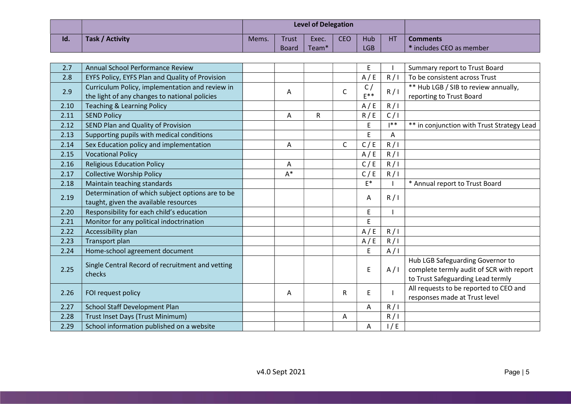|     |                 |       |              | <b>Level of Delegation</b> |            |            |    |                                     |
|-----|-----------------|-------|--------------|----------------------------|------------|------------|----|-------------------------------------|
| Id. | Task / Activity | Mems. | Trust        | Exec.                      | <b>CEO</b> | Hub        | HT | <b>Comments</b>                     |
|     |                 |       | <b>Board</b> | Team <sup>*</sup>          |            | <b>LGB</b> |    | <sup>*</sup> includes CEO as member |

| 2.7  | Annual School Performance Review                                                                 |       |   |              | E           |              | Summary report to Trust Board                                                                                     |
|------|--------------------------------------------------------------------------------------------------|-------|---|--------------|-------------|--------------|-------------------------------------------------------------------------------------------------------------------|
| 2.8  | EYFS Policy, EYFS Plan and Quality of Provision                                                  |       |   |              | A/E         | R/1          | To be consistent across Trust                                                                                     |
| 2.9  | Curriculum Policy, implementation and review in<br>the light of any changes to national policies | Α     |   | $\mathsf{C}$ | C/<br>$F^*$ | R/I          | ** Hub LGB / SIB to review annually,<br>reporting to Trust Board                                                  |
| 2.10 | <b>Teaching &amp; Learning Policy</b>                                                            |       |   |              | A/E         | R/1          |                                                                                                                   |
| 2.11 | <b>SEND Policy</b>                                                                               | A     | R |              | R/E         | C/1          |                                                                                                                   |
| 2.12 | SEND Plan and Quality of Provision                                                               |       |   |              | E           | $1**$        | ** in conjunction with Trust Strategy Lead                                                                        |
| 2.13 | Supporting pupils with medical conditions                                                        |       |   |              | E           | A            |                                                                                                                   |
| 2.14 | Sex Education policy and implementation                                                          | A     |   | $\mathsf C$  | C/E         | R/1          |                                                                                                                   |
| 2.15 | <b>Vocational Policy</b>                                                                         |       |   |              | A/E         | R/1          |                                                                                                                   |
| 2.16 | <b>Religious Education Policy</b>                                                                | A     |   |              | C/E         | R/1          |                                                                                                                   |
| 2.17 | <b>Collective Worship Policy</b>                                                                 | $A^*$ |   |              | C / E       | R/1          |                                                                                                                   |
| 2.18 | Maintain teaching standards                                                                      |       |   |              | $E^*$       |              | * Annual report to Trust Board                                                                                    |
| 2.19 | Determination of which subject options are to be<br>taught, given the available resources        |       |   |              | A           | R/1          |                                                                                                                   |
| 2.20 | Responsibility for each child's education                                                        |       |   |              | E           |              |                                                                                                                   |
| 2.21 | Monitor for any political indoctrination                                                         |       |   |              | E           |              |                                                                                                                   |
| 2.22 | Accessibility plan                                                                               |       |   |              | A/E         | R/1          |                                                                                                                   |
| 2.23 | Transport plan                                                                                   |       |   |              | A/E         | R/1          |                                                                                                                   |
| 2.24 | Home-school agreement document                                                                   |       |   |              | E           | A/I          |                                                                                                                   |
| 2.25 | Single Central Record of recruitment and vetting<br>checks                                       |       |   |              | E           | A/I          | Hub LGB Safeguarding Governor to<br>complete termly audit of SCR with report<br>to Trust Safeguarding Lead termly |
| 2.26 | FOI request policy                                                                               | A     |   | $\mathsf{R}$ | E           | $\mathbf{I}$ | All requests to be reported to CEO and<br>responses made at Trust level                                           |
| 2.27 | School Staff Development Plan                                                                    |       |   |              | А           | R/1          |                                                                                                                   |
| 2.28 | Trust Inset Days (Trust Minimum)                                                                 |       |   | Α            |             | R/1          |                                                                                                                   |
| 2.29 | School information published on a website                                                        |       |   |              | A           | 1/E          |                                                                                                                   |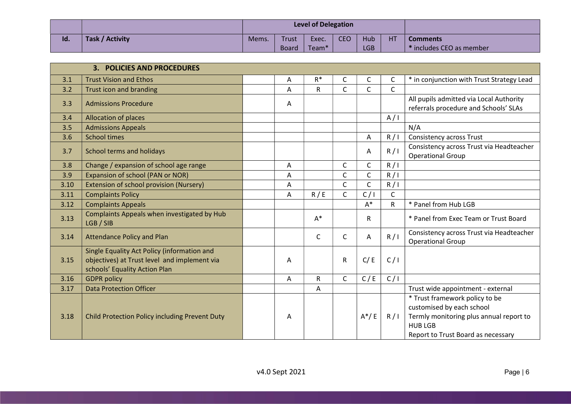|     |                 |       |              | <b>Level of Delegation</b> |            |     |    |                                     |
|-----|-----------------|-------|--------------|----------------------------|------------|-----|----|-------------------------------------|
| Id. | Task / Activity | Mems. | Trust        | Exec.                      | <b>CEO</b> | Hub | HT | <b>Comments</b>                     |
|     |                 |       | <b>Board</b> | Team <sup>*</sup>          |            | LGB |    | <sup>*</sup> includes CEO as member |

|      | <b>3. POLICIES AND PROCEDURES</b>                                                                                            |   |              |              |              |              |                                                                                                                                                                |
|------|------------------------------------------------------------------------------------------------------------------------------|---|--------------|--------------|--------------|--------------|----------------------------------------------------------------------------------------------------------------------------------------------------------------|
| 3.1  | <b>Trust Vision and Ethos</b>                                                                                                | Α | $R^*$        | C            | $\mathsf{C}$ | $\mathsf{C}$ | * in conjunction with Trust Strategy Lead                                                                                                                      |
| 3.2  | Trust icon and branding                                                                                                      | A | $\mathsf{R}$ | $\mathsf{C}$ | $\mathsf{C}$ | $\mathsf{C}$ |                                                                                                                                                                |
| 3.3  | <b>Admissions Procedure</b>                                                                                                  | Α |              |              |              |              | All pupils admitted via Local Authority<br>referrals procedure and Schools' SLAs                                                                               |
| 3.4  | Allocation of places                                                                                                         |   |              |              |              | A/I          |                                                                                                                                                                |
| 3.5  | <b>Admissions Appeals</b>                                                                                                    |   |              |              |              |              | N/A                                                                                                                                                            |
| 3.6  | <b>School times</b>                                                                                                          |   |              |              | Α            | R/1          | <b>Consistency across Trust</b>                                                                                                                                |
| 3.7  | School terms and holidays                                                                                                    |   |              |              | A            | R/1          | Consistency across Trust via Headteacher<br><b>Operational Group</b>                                                                                           |
| 3.8  | Change / expansion of school age range                                                                                       | A |              | C            | $\mathsf C$  | R/1          |                                                                                                                                                                |
| 3.9  | Expansion of school (PAN or NOR)                                                                                             | A |              | $\mathsf{C}$ | $\mathsf{C}$ | R/1          |                                                                                                                                                                |
| 3.10 | Extension of school provision (Nursery)                                                                                      | A |              | C            | C            | R/1          |                                                                                                                                                                |
| 3.11 | <b>Complaints Policy</b>                                                                                                     | A | R / E        | $\mathsf{C}$ | C/1          | $\mathsf C$  |                                                                                                                                                                |
| 3.12 | <b>Complaints Appeals</b>                                                                                                    |   |              |              | $A^*$        | R            | * Panel from Hub LGB                                                                                                                                           |
| 3.13 | Complaints Appeals when investigated by Hub<br>LGB / SIB                                                                     |   | $A^*$        |              | R            |              | * Panel from Exec Team or Trust Board                                                                                                                          |
| 3.14 | <b>Attendance Policy and Plan</b>                                                                                            |   | $\mathsf{C}$ | C            | Α            | R/1          | Consistency across Trust via Headteacher<br><b>Operational Group</b>                                                                                           |
| 3.15 | Single Equality Act Policy (information and<br>objectives) at Trust level and implement via<br>schools' Equality Action Plan | A |              | R            | C/E          | C/1          |                                                                                                                                                                |
| 3.16 | <b>GDPR</b> policy                                                                                                           | A | $\mathsf{R}$ | $\mathsf{C}$ | C/E          | C/1          |                                                                                                                                                                |
| 3.17 | <b>Data Protection Officer</b>                                                                                               |   | A            |              |              |              | Trust wide appointment - external                                                                                                                              |
| 3.18 | Child Protection Policy including Prevent Duty                                                                               | Α |              |              | $A^*/E$      | R/1          | * Trust framework policy to be<br>customised by each school<br>Termly monitoring plus annual report to<br><b>HUB LGB</b><br>Report to Trust Board as necessary |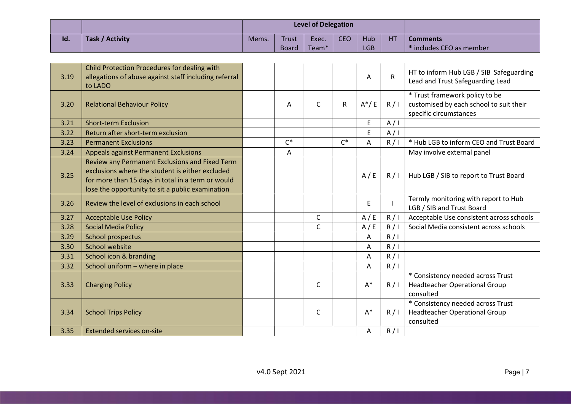|     |                 |       |       | <b>Level of Delegation</b> |            |            |    |                          |
|-----|-----------------|-------|-------|----------------------------|------------|------------|----|--------------------------|
| Id. | Task / Activity | Mems. | Trust | Exec.                      | <b>CEO</b> | Hub        | HT | <b>Comments</b>          |
|     |                 |       | Board | Team <sup>*</sup>          |            | <b>LGB</b> |    | * includes CEO as member |

| 3.19 | Child Protection Procedures for dealing with<br>allegations of abuse against staff including referral<br>to LADO                                                                                           |       |              |              | A              | ${\sf R}$ | HT to inform Hub LGB / SIB Safeguarding<br>Lead and Trust Safeguarding Lead                         |
|------|------------------------------------------------------------------------------------------------------------------------------------------------------------------------------------------------------------|-------|--------------|--------------|----------------|-----------|-----------------------------------------------------------------------------------------------------|
| 3.20 | <b>Relational Behaviour Policy</b>                                                                                                                                                                         | Α     | $\mathsf{C}$ | $\mathsf{R}$ | $A^*/E$        | R/1       | * Trust framework policy to be<br>customised by each school to suit their<br>specific circumstances |
| 3.21 | <b>Short-term Exclusion</b>                                                                                                                                                                                |       |              |              | E              | A/I       |                                                                                                     |
| 3.22 | Return after short-term exclusion                                                                                                                                                                          |       |              |              | E              | A/I       |                                                                                                     |
| 3.23 | <b>Permanent Exclusions</b>                                                                                                                                                                                | $C^*$ |              | $C^*$        | Α              | R/1       | * Hub LGB to inform CEO and Trust Board                                                             |
| 3.24 | <b>Appeals against Permanent Exclusions</b>                                                                                                                                                                | A     |              |              |                |           | May involve external panel                                                                          |
| 3.25 | Review any Permanent Exclusions and Fixed Term<br>exclusions where the student is either excluded<br>for more than 15 days in total in a term or would<br>lose the opportunity to sit a public examination |       |              |              | A/E            | R/1       | Hub LGB / SIB to report to Trust Board                                                              |
| 3.26 | Review the level of exclusions in each school                                                                                                                                                              |       |              |              | E              |           | Termly monitoring with report to Hub<br>LGB / SIB and Trust Board                                   |
| 3.27 | <b>Acceptable Use Policy</b>                                                                                                                                                                               |       | C            |              | A/E            | R/1       | Acceptable Use consistent across schools                                                            |
| 3.28 | <b>Social Media Policy</b>                                                                                                                                                                                 |       | C            |              | A/E            | R/1       | Social Media consistent across schools                                                              |
| 3.29 | School prospectus                                                                                                                                                                                          |       |              |              | A              | R/1       |                                                                                                     |
| 3.30 | School website                                                                                                                                                                                             |       |              |              | Α              | R/1       |                                                                                                     |
| 3.31 | School icon & branding                                                                                                                                                                                     |       |              |              | $\overline{A}$ | R/1       |                                                                                                     |
| 3.32 | School uniform - where in place                                                                                                                                                                            |       |              |              | Α              | R/1       |                                                                                                     |
| 3.33 | <b>Charging Policy</b>                                                                                                                                                                                     |       | C            |              | $A^*$          | R/1       | * Consistency needed across Trust<br><b>Headteacher Operational Group</b><br>consulted              |
| 3.34 | <b>School Trips Policy</b>                                                                                                                                                                                 |       | C            |              | $A^*$          | R/1       | * Consistency needed across Trust<br><b>Headteacher Operational Group</b><br>consulted              |
| 3.35 | <b>Extended services on-site</b>                                                                                                                                                                           |       |              |              | Α              | R/1       |                                                                                                     |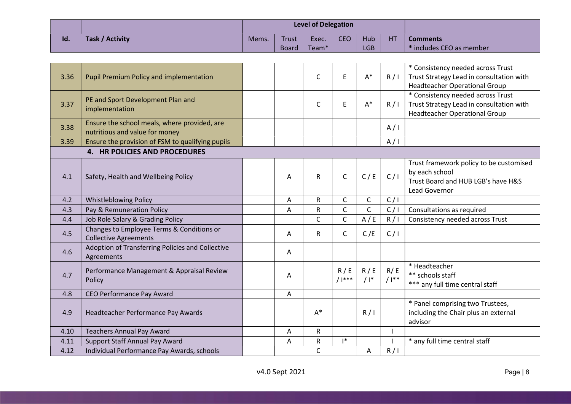|     |                 |       |              | <b>Level of Delegation</b> |            |     |    |                          |
|-----|-----------------|-------|--------------|----------------------------|------------|-----|----|--------------------------|
| Id. | Task / Activity | Mems. | Trust        | Exec.                      | <b>CEO</b> | Hub | HT | <b>Comments</b>          |
|     |                 |       | <b>Board</b> | Team <sup>*</sup>          |            | LGB |    | * includes CEO as member |

| 3.36                          | <b>Pupil Premium Policy and implementation</b>                                 |  |   | $\mathsf{C}$ | E               | $A^*$         | R/1           | * Consistency needed across Trust<br>Trust Strategy Lead in consultation with<br>Headteacher Operational Group        |  |  |  |
|-------------------------------|--------------------------------------------------------------------------------|--|---|--------------|-----------------|---------------|---------------|-----------------------------------------------------------------------------------------------------------------------|--|--|--|
| 3.37                          | PE and Sport Development Plan and<br>implementation                            |  |   | $\mathsf{C}$ | E               | $A^*$         | R/1           | * Consistency needed across Trust<br>Trust Strategy Lead in consultation with<br><b>Headteacher Operational Group</b> |  |  |  |
| 3.38                          | Ensure the school meals, where provided, are<br>nutritious and value for money |  |   |              |                 |               | A/I           |                                                                                                                       |  |  |  |
| 3.39                          | Ensure the provision of FSM to qualifying pupils                               |  |   |              |                 |               | A/I           |                                                                                                                       |  |  |  |
| 4. HR POLICIES AND PROCEDURES |                                                                                |  |   |              |                 |               |               |                                                                                                                       |  |  |  |
| 4.1                           | Safety, Health and Wellbeing Policy                                            |  | Α | $\mathsf{R}$ | $\mathsf{C}$    | C/E           | C/I           | Trust framework policy to be customised<br>by each school<br>Trust Board and HUB LGB's have H&S<br>Lead Governor      |  |  |  |
| 4.2                           | <b>Whistleblowing Policy</b>                                                   |  | A | ${\sf R}$    | $\mathsf{C}$    | $\mathsf C$   | C/I           |                                                                                                                       |  |  |  |
| 4.3                           | Pay & Remuneration Policy                                                      |  | Α | R            | $\mathsf{C}$    | $\mathsf{C}$  | C/1           | Consultations as required                                                                                             |  |  |  |
| 4.4                           | Job Role Salary & Grading Policy                                               |  |   | C            | $\mathsf C$     | A/E           | R/1           | Consistency needed across Trust                                                                                       |  |  |  |
| 4.5                           | Changes to Employee Terms & Conditions or<br><b>Collective Agreements</b>      |  | Α | $\mathsf{R}$ | $\mathsf C$     | C/E           | C/I           |                                                                                                                       |  |  |  |
| 4.6                           | Adoption of Transferring Policies and Collective<br>Agreements                 |  | A |              |                 |               |               |                                                                                                                       |  |  |  |
| 4.7                           | Performance Management & Appraisal Review<br>Policy                            |  | Α |              | R/E<br>$/$  *** | R/E<br>$/$  * | R/E<br>$/1**$ | * Headteacher<br>** schools staff<br>*** any full time central staff                                                  |  |  |  |
| 4.8                           | CEO Performance Pay Award                                                      |  | A |              |                 |               |               |                                                                                                                       |  |  |  |
| 4.9                           | Headteacher Performance Pay Awards                                             |  |   | $A^*$        |                 | R/1           |               | * Panel comprising two Trustees,<br>including the Chair plus an external<br>advisor                                   |  |  |  |
| 4.10                          | <b>Teachers Annual Pay Award</b>                                               |  | Α | $\mathsf{R}$ |                 |               |               |                                                                                                                       |  |  |  |
| 4.11                          | Support Staff Annual Pay Award                                                 |  | Α | ${\sf R}$    | $\mathsf{I}^*$  |               |               | * any full time central staff                                                                                         |  |  |  |
| 4.12                          | Individual Performance Pay Awards, schools                                     |  |   | C            |                 | A             | R/1           |                                                                                                                       |  |  |  |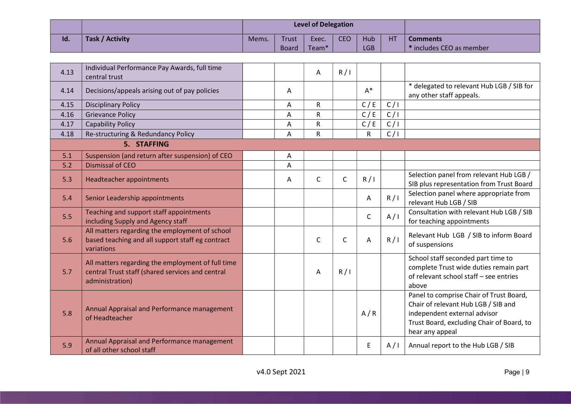|     |                 |       |              | <b>Level of Delegation</b> |            |            |    |                          |
|-----|-----------------|-------|--------------|----------------------------|------------|------------|----|--------------------------|
| Id. | Task / Activity | Mems. | <b>Trust</b> | Exec.                      | <b>CEO</b> | Hub        | HT | <b>Comments</b>          |
|     |                 |       | Board        | Team <sup>*</sup>          |            | <b>LGB</b> |    | * includes CEO as member |

| 4.13 | Individual Performance Pay Awards, full time<br>central trust                                                            |   | Α            | R/1          |              |     |                                                                                                                                                                                |
|------|--------------------------------------------------------------------------------------------------------------------------|---|--------------|--------------|--------------|-----|--------------------------------------------------------------------------------------------------------------------------------------------------------------------------------|
| 4.14 | Decisions/appeals arising out of pay policies                                                                            | Α |              |              | $A^*$        |     | * delegated to relevant Hub LGB / SIB for<br>any other staff appeals.                                                                                                          |
| 4.15 | <b>Disciplinary Policy</b>                                                                                               | A | $\mathsf{R}$ |              | C/E          | C/I |                                                                                                                                                                                |
| 4.16 | <b>Grievance Policy</b>                                                                                                  | A | $\mathsf R$  |              | C/E          | C/1 |                                                                                                                                                                                |
| 4.17 | <b>Capability Policy</b>                                                                                                 | A | R            |              | C/E          | C/1 |                                                                                                                                                                                |
| 4.18 | Re-structuring & Redundancy Policy                                                                                       | A | R            |              | R            | C/1 |                                                                                                                                                                                |
|      | 5. STAFFING                                                                                                              |   |              |              |              |     |                                                                                                                                                                                |
| 5.1  | Suspension (and return after suspension) of CEO                                                                          | A |              |              |              |     |                                                                                                                                                                                |
| 5.2  | <b>Dismissal of CEO</b>                                                                                                  | A |              |              |              |     |                                                                                                                                                                                |
| 5.3  | Headteacher appointments                                                                                                 | A | $\mathsf{C}$ | C            | R/1          |     | Selection panel from relevant Hub LGB /<br>SIB plus representation from Trust Board                                                                                            |
| 5.4  | Senior Leadership appointments                                                                                           |   |              |              | A            | R/1 | Selection panel where appropriate from<br>relevant Hub LGB / SIB                                                                                                               |
| 5.5  | Teaching and support staff appointments<br>including Supply and Agency staff                                             |   |              |              | $\mathsf{C}$ | A/I | Consultation with relevant Hub LGB / SIB<br>for teaching appointments                                                                                                          |
| 5.6  | All matters regarding the employment of school<br>based teaching and all support staff eg contract<br>variations         |   | $\mathsf{C}$ | $\mathsf{C}$ | A            | R/1 | Relevant Hub LGB / SIB to inform Board<br>of suspensions                                                                                                                       |
| 5.7  | All matters regarding the employment of full time<br>central Trust staff (shared services and central<br>administration) |   | A            | R/I          |              |     | School staff seconded part time to<br>complete Trust wide duties remain part<br>of relevant school staff - see entries<br>above                                                |
| 5.8  | Annual Appraisal and Performance management<br>of Headteacher                                                            |   |              |              | A/R          |     | Panel to comprise Chair of Trust Board,<br>Chair of relevant Hub LGB / SIB and<br>independent external advisor<br>Trust Board, excluding Chair of Board, to<br>hear any appeal |
| 5.9  | Annual Appraisal and Performance management<br>of all other school staff                                                 |   |              |              | E            | A/I | Annual report to the Hub LGB / SIB                                                                                                                                             |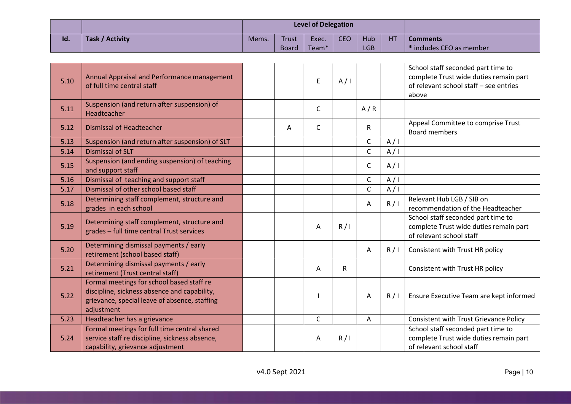|     |                        |       |              | <b>Level of Delegation</b> |            |      |                |                          |
|-----|------------------------|-------|--------------|----------------------------|------------|------|----------------|--------------------------|
| Id. | <b>Task / Activity</b> | Mems. | Trust        | Exec.                      | <b>CEO</b> | Hub  | H <sub>T</sub> | <b>Comments</b>          |
|     |                        |       | <b>Board</b> | Team <sup>*</sup>          |            | LGB. |                | * includes CEO as member |

| 5.10 | Annual Appraisal and Performance management<br>of full time central staff                                                                                |   | E            | A/I |              |     | School staff seconded part time to<br>complete Trust wide duties remain part<br>of relevant school staff - see entries<br>above |
|------|----------------------------------------------------------------------------------------------------------------------------------------------------------|---|--------------|-----|--------------|-----|---------------------------------------------------------------------------------------------------------------------------------|
| 5.11 | Suspension (and return after suspension) of<br>Headteacher                                                                                               |   | $\mathsf{C}$ |     | A/R          |     |                                                                                                                                 |
| 5.12 | <b>Dismissal of Headteacher</b>                                                                                                                          | Α | $\mathsf{C}$ |     | $\mathsf{R}$ |     | Appeal Committee to comprise Trust<br><b>Board members</b>                                                                      |
| 5.13 | Suspension (and return after suspension) of SLT                                                                                                          |   |              |     | $\mathsf C$  | A/I |                                                                                                                                 |
| 5.14 | <b>Dismissal of SLT</b>                                                                                                                                  |   |              |     | $\mathsf{C}$ | A/I |                                                                                                                                 |
| 5.15 | Suspension (and ending suspension) of teaching<br>and support staff                                                                                      |   |              |     | C            | A/I |                                                                                                                                 |
| 5.16 | Dismissal of teaching and support staff                                                                                                                  |   |              |     | C            | A/I |                                                                                                                                 |
| 5.17 | Dismissal of other school based staff                                                                                                                    |   |              |     | $\mathsf{C}$ | A/I |                                                                                                                                 |
| 5.18 | Determining staff complement, structure and<br>grades in each school                                                                                     |   |              |     | A            | R/1 | Relevant Hub LGB / SIB on<br>recommendation of the Headteacher                                                                  |
| 5.19 | Determining staff complement, structure and<br>grades - full time central Trust services                                                                 |   | A            | R/1 |              |     | School staff seconded part time to<br>complete Trust wide duties remain part<br>of relevant school staff                        |
| 5.20 | Determining dismissal payments / early<br>retirement (school based staff)                                                                                |   |              |     | Α            | R/1 | Consistent with Trust HR policy                                                                                                 |
| 5.21 | Determining dismissal payments / early<br>retirement (Trust central staff)                                                                               |   | A            | R   |              |     | Consistent with Trust HR policy                                                                                                 |
| 5.22 | Formal meetings for school based staff re<br>discipline, sickness absence and capability,<br>grievance, special leave of absence, staffing<br>adjustment |   |              |     | A            | R/1 | Ensure Executive Team are kept informed                                                                                         |
| 5.23 | Headteacher has a grievance                                                                                                                              |   | $\mathsf{C}$ |     | Α            |     | <b>Consistent with Trust Grievance Policy</b>                                                                                   |
| 5.24 | Formal meetings for full time central shared<br>service staff re discipline, sickness absence,<br>capability, grievance adjustment                       |   | Α            | R/1 |              |     | School staff seconded part time to<br>complete Trust wide duties remain part<br>of relevant school staff                        |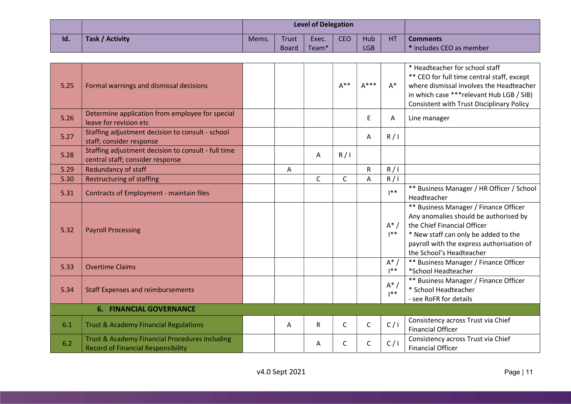|     |                 |       |              | <b>Level of Delegation</b> |            |            |    |                                       |
|-----|-----------------|-------|--------------|----------------------------|------------|------------|----|---------------------------------------|
| Id. | Task / Activity | Mems. | <b>Trust</b> | Exec.                      | <b>CEO</b> | Hub        | HT | <b>Comments</b>                       |
|     |                 |       | <b>Board</b> | Team <sup>*</sup>          |            | <b>LGB</b> |    | $\mathsf{I}^*$ includes CEO as member |

| 5.25 | Formal warnings and dismissal decisions                                                     |   |   | $A^{**}$ | $A***$       | $A^*$             | * Headteacher for school staff<br>** CEO for full time central staff, except<br>where dismissal involves the Headteacher<br>in which case *** relevant Hub LGB / SIB)<br><b>Consistent with Trust Disciplinary Policy</b>      |
|------|---------------------------------------------------------------------------------------------|---|---|----------|--------------|-------------------|--------------------------------------------------------------------------------------------------------------------------------------------------------------------------------------------------------------------------------|
| 5.26 | Determine application from employee for special<br>leave for revision etc                   |   |   |          | E            | Α                 | Line manager                                                                                                                                                                                                                   |
| 5.27 | Staffing adjustment decision to consult - school<br>staff; consider response                |   |   |          | A            | R/1               |                                                                                                                                                                                                                                |
| 5.28 | Staffing adjustment decision to consult - full time<br>central staff; consider response     |   | Α | R/1      |              |                   |                                                                                                                                                                                                                                |
| 5.29 | Redundancy of staff                                                                         | Α |   |          | $\mathsf{R}$ | R/1               |                                                                                                                                                                                                                                |
| 5.30 | <b>Restructuring of staffing</b>                                                            |   | C | C        | Α            | R/1               |                                                                                                                                                                                                                                |
| 5.31 | <b>Contracts of Employment - maintain files</b>                                             |   |   |          |              | $1**$             | ** Business Manager / HR Officer / School<br>Headteacher                                                                                                                                                                       |
| 5.32 | <b>Payroll Processing</b>                                                                   |   |   |          |              | $A^*$ /<br>$1***$ | ** Business Manager / Finance Officer<br>Any anomalies should be authorised by<br>the Chief Financial Officer<br>* New staff can only be added to the<br>payroll with the express authorisation of<br>the School's Headteacher |
| 5.33 | <b>Overtime Claims</b>                                                                      |   |   |          |              | $A^*$ /<br>$1**$  | ** Business Manager / Finance Officer<br>*School Headteacher                                                                                                                                                                   |
| 5.34 | <b>Staff Expenses and reimbursements</b>                                                    |   |   |          |              | $A^*$ /<br>$1**$  | ** Business Manager / Finance Officer<br>* School Headteacher<br>- see RoFR for details                                                                                                                                        |
|      | <b>6. FINANCIAL GOVERNANCE</b>                                                              |   |   |          |              |                   |                                                                                                                                                                                                                                |
| 6.1  | <b>Trust &amp; Academy Financial Regulations</b>                                            | A | R | C        | $\mathsf{C}$ | C/1               | Consistency across Trust via Chief<br><b>Financial Officer</b>                                                                                                                                                                 |
| 6.2  | Trust & Academy Financial Procedures including<br><b>Record of Financial Responsibility</b> |   | A | C        | C            | C/1               | Consistency across Trust via Chief<br><b>Financial Officer</b>                                                                                                                                                                 |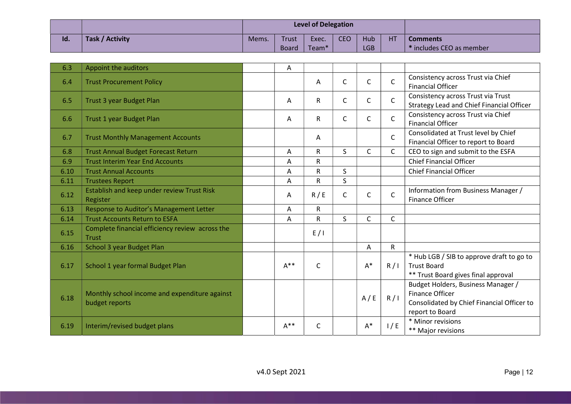|     |                 |       |              | <b>Level of Delegation</b> |     |            |    |                             |
|-----|-----------------|-------|--------------|----------------------------|-----|------------|----|-----------------------------|
| Id. | Task / Activity | Mems. | Trust        | Exec.                      | CEO | Hub        | HT | <b>Comments</b>             |
|     |                 |       | <b>Board</b> | Team <sup>*</sup>          |     | <b>LGB</b> |    | $^*$ includes CEO as member |

| 6.3  | Appoint the auditors                                            | А        |              |              |              |              |                                                                                                                        |
|------|-----------------------------------------------------------------|----------|--------------|--------------|--------------|--------------|------------------------------------------------------------------------------------------------------------------------|
| 6.4  | <b>Trust Procurement Policy</b>                                 |          | Α            | C            | $\mathsf{C}$ | $\mathsf{C}$ | Consistency across Trust via Chief<br><b>Financial Officer</b>                                                         |
| 6.5  | Trust 3 year Budget Plan                                        | A        | R            | C            | $\mathsf{C}$ | $\mathsf{C}$ | Consistency across Trust via Trust<br><b>Strategy Lead and Chief Financial Officer</b>                                 |
| 6.6  | <b>Trust 1 year Budget Plan</b>                                 | A        | R.           | C            | C            | $\mathsf{C}$ | Consistency across Trust via Chief<br><b>Financial Officer</b>                                                         |
| 6.7  | <b>Trust Monthly Management Accounts</b>                        |          | A            |              |              | $\mathsf{C}$ | Consolidated at Trust level by Chief<br>Financial Officer to report to Board                                           |
| 6.8  | <b>Trust Annual Budget Forecast Return</b>                      | Α        | R.           | S.           | C            | C            | CEO to sign and submit to the ESFA                                                                                     |
| 6.9  | <b>Trust Interim Year End Accounts</b>                          | A        | R            |              |              |              | <b>Chief Financial Officer</b>                                                                                         |
| 6.10 | <b>Trust Annual Accounts</b>                                    | A        | R            | S            |              |              | <b>Chief Financial Officer</b>                                                                                         |
| 6.11 | <b>Trustees Report</b>                                          | Α        | R            | $\mathsf{S}$ |              |              |                                                                                                                        |
| 6.12 | Establish and keep under review Trust Risk<br>Register          | Α        | R / E        | C            | C            | $\mathsf{C}$ | Information from Business Manager /<br><b>Finance Officer</b>                                                          |
| 6.13 | Response to Auditor's Management Letter                         | Α        | $\mathsf{R}$ |              |              |              |                                                                                                                        |
| 6.14 | <b>Trust Accounts Return to ESFA</b>                            | A        | R.           | S            | C            | $\mathsf{C}$ |                                                                                                                        |
| 6.15 | Complete financial efficiency review across the<br><b>Trust</b> |          | E/1          |              |              |              |                                                                                                                        |
| 6.16 | School 3 year Budget Plan                                       |          |              |              | A            | $\mathsf{R}$ |                                                                                                                        |
| 6.17 | School 1 year formal Budget Plan                                | $A^{**}$ | $\mathsf{C}$ |              | $A^*$        | R/1          | * Hub LGB / SIB to approve draft to go to<br><b>Trust Board</b><br>** Trust Board gives final approval                 |
| 6.18 | Monthly school income and expenditure against<br>budget reports |          |              |              | A/E          | R/1          | Budget Holders, Business Manager /<br>Finance Officer<br>Consolidated by Chief Financial Officer to<br>report to Board |
| 6.19 | Interim/revised budget plans                                    | $A^{**}$ | С            |              | $A^*$        | 1/E          | * Minor revisions<br>** Major revisions                                                                                |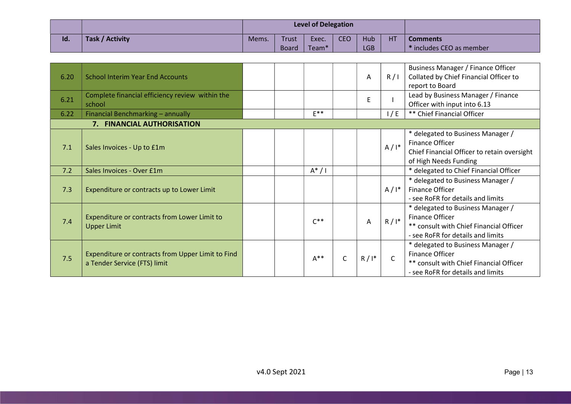|     |                 |       |              | <b>Level of Delegation</b> |            |            |    |                                       |
|-----|-----------------|-------|--------------|----------------------------|------------|------------|----|---------------------------------------|
| Id. | Task / Activity | Mems. | <b>Trust</b> | Exec.                      | <b>CEO</b> | Hub        | HT | <b>Comments</b>                       |
|     |                 |       | <b>Board</b> | Team <sup>*</sup>          |            | <b>LGB</b> |    | $\mathsf{I}^*$ includes CEO as member |

| 6.20 | <b>School Interim Year End Accounts</b>                                           |          |   | A       | R/1          | Business Manager / Finance Officer<br>Collated by Chief Financial Officer to<br>report to Board                                      |
|------|-----------------------------------------------------------------------------------|----------|---|---------|--------------|--------------------------------------------------------------------------------------------------------------------------------------|
| 6.21 | Complete financial efficiency review within the<br>school                         |          |   | E       |              | Lead by Business Manager / Finance<br>Officer with input into 6.13                                                                   |
| 6.22 | Financial Benchmarking - annually                                                 | $F^{**}$ |   |         | 1/E          | ** Chief Financial Officer                                                                                                           |
|      | 7. FINANCIAL AUTHORISATION                                                        |          |   |         |              |                                                                                                                                      |
| 7.1  | Sales Invoices - Up to £1m                                                        |          |   |         | $A/I^*$      | * delegated to Business Manager /<br>Finance Officer<br>Chief Financial Officer to retain oversight<br>of High Needs Funding         |
| 7.2  | Sales Invoices - Over £1m                                                         | $A^*/I$  |   |         |              | * delegated to Chief Financial Officer                                                                                               |
| 7.3  | Expenditure or contracts up to Lower Limit                                        |          |   |         | $A/I^*$      | * delegated to Business Manager /<br>Finance Officer<br>- see RoFR for details and limits                                            |
| 7.4  | Expenditure or contracts from Lower Limit to<br><b>Upper Limit</b>                | $C^{**}$ |   | A       | $R/I^*$      | * delegated to Business Manager /<br>Finance Officer<br>** consult with Chief Financial Officer<br>- see RoFR for details and limits |
| 7.5  | Expenditure or contracts from Upper Limit to Find<br>a Tender Service (FTS) limit | $A^{**}$ | C | $R/I^*$ | $\mathsf{C}$ | * delegated to Business Manager /<br>Finance Officer<br>** consult with Chief Financial Officer<br>- see RoFR for details and limits |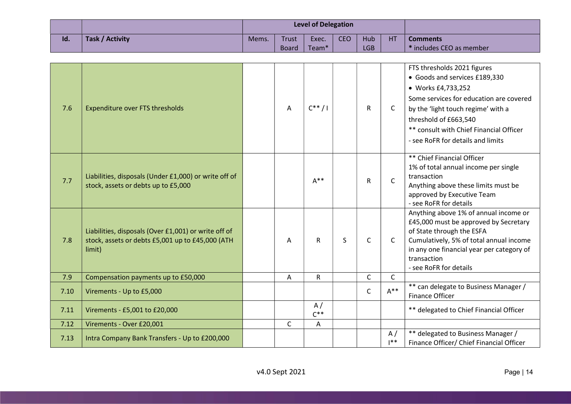|     |                 |       |              | <b>Level of Delegation</b> |            |            |    |                             |
|-----|-----------------|-------|--------------|----------------------------|------------|------------|----|-----------------------------|
| Id. | Task / Activity | Mems. | Trust        | Exec.                      | <b>CEO</b> | <b>Hub</b> | HT | <b>Comments</b>             |
|     |                 |       | <b>Board</b> | Team <sup>*</sup>          |            | <b>LGB</b> |    | $^*$ includes CEO as member |

| 7.6  | <b>Expenditure over FTS thresholds</b>                                                                             | Α            | $C^{**}/1$     |              | $\mathsf{R}$ | C            | FTS thresholds 2021 figures<br>• Goods and services £189,330<br>• Works £4,733,252<br>Some services for education are covered<br>by the 'light touch regime' with a<br>threshold of £663,540<br>** consult with Chief Financial Officer<br>- see RoFR for details and limits |
|------|--------------------------------------------------------------------------------------------------------------------|--------------|----------------|--------------|--------------|--------------|------------------------------------------------------------------------------------------------------------------------------------------------------------------------------------------------------------------------------------------------------------------------------|
| 7.7  | Liabilities, disposals (Under £1,000) or write off of<br>stock, assets or debts up to £5,000                       |              | $A^{**}$       |              | $\mathsf{R}$ | $\mathsf{C}$ | ** Chief Financial Officer<br>1% of total annual income per single<br>transaction<br>Anything above these limits must be<br>approved by Executive Team<br>- see RoFR for details                                                                                             |
| 7.8  | Liabilities, disposals (Over £1,001) or write off of<br>stock, assets or debts £5,001 up to £45,000 (ATH<br>limit) | A            | $\mathsf{R}$   | $\mathsf{S}$ | $\mathsf{C}$ | $\mathsf{C}$ | Anything above 1% of annual income or<br>£45,000 must be approved by Secretary<br>of State through the ESFA<br>Cumulatively, 5% of total annual income<br>in any one financial year per category of<br>transaction<br>- see RoFR for details                                 |
| 7.9  | Compensation payments up to £50,000                                                                                | Α            | ${\sf R}$      |              | $\mathsf{C}$ | $\mathsf{C}$ |                                                                                                                                                                                                                                                                              |
| 7.10 | Virements - Up to £5,000                                                                                           |              |                |              | C            | $A^{**}$     | ** can delegate to Business Manager /<br>Finance Officer                                                                                                                                                                                                                     |
| 7.11 | Virements - £5,001 to £20,000                                                                                      |              | A/<br>$C^{**}$ |              |              |              | ** delegated to Chief Financial Officer                                                                                                                                                                                                                                      |
| 7.12 | Virements - Over £20,001                                                                                           | $\mathsf{C}$ | Α              |              |              |              |                                                                                                                                                                                                                                                                              |
| 7.13 | Intra Company Bank Transfers - Up to £200,000                                                                      |              |                |              |              | A/<br> **    | ** delegated to Business Manager /<br>Finance Officer/ Chief Financial Officer                                                                                                                                                                                               |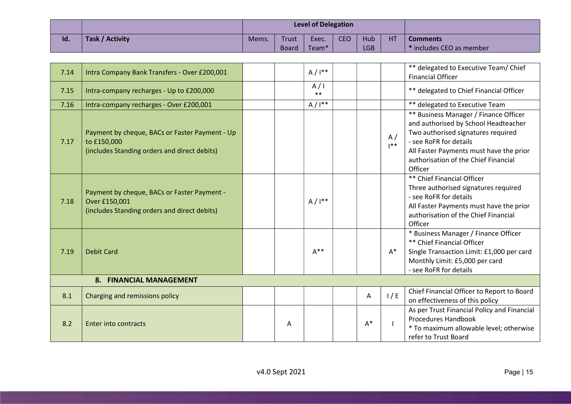|     |                 |       |       | <b>Level of Delegation</b> |            |            |                |                                      |
|-----|-----------------|-------|-------|----------------------------|------------|------------|----------------|--------------------------------------|
| Id. | Task / Activity | Mems. | Trust | Exec.                      | <b>CEO</b> | Hub        | H <sub>T</sub> | <b>Comments</b>                      |
|     |                 |       | Board | Team <sup>*</sup>          |            | <b>LGB</b> |                | $\rightarrow$ includes CEO as member |

| 7.14 | Intra Company Bank Transfers - Over £200,001                                                                  |   | $A/I^{**}$   |       |              | ** delegated to Executive Team/ Chief<br><b>Financial Officer</b>                                                                                                                                                                           |
|------|---------------------------------------------------------------------------------------------------------------|---|--------------|-------|--------------|---------------------------------------------------------------------------------------------------------------------------------------------------------------------------------------------------------------------------------------------|
| 7.15 | Intra-company recharges - Up to £200,000                                                                      |   | A/I<br>$***$ |       |              | ** delegated to Chief Financial Officer                                                                                                                                                                                                     |
| 7.16 | Intra-company recharges - Over £200,001                                                                       |   | $A/I^{**}$   |       |              | ** delegated to Executive Team                                                                                                                                                                                                              |
| 7.17 | Payment by cheque, BACs or Faster Payment - Up<br>to £150,000<br>(includes Standing orders and direct debits) |   |              |       | A/<br>$1**$  | ** Business Manager / Finance Officer<br>and authorised by School Headteacher<br>Two authorised signatures required<br>- see RoFR for details<br>All Faster Payments must have the prior<br>authorisation of the Chief Financial<br>Officer |
| 7.18 | Payment by cheque, BACs or Faster Payment -<br>Over £150,001<br>(includes Standing orders and direct debits)  |   | $A/I^{**}$   |       |              | ** Chief Financial Officer<br>Three authorised signatures required<br>- see RoFR for details<br>All Faster Payments must have the prior<br>authorisation of the Chief Financial<br>Officer                                                  |
| 7.19 | <b>Debit Card</b>                                                                                             |   | $A^{**}$     |       | $A^*$        | * Business Manager / Finance Officer<br>** Chief Financial Officer<br>Single Transaction Limit: £1,000 per card<br>Monthly Limit: £5,000 per card<br>- see RoFR for details                                                                 |
|      | 8. FINANCIAL MANAGEMENT                                                                                       |   |              |       |              |                                                                                                                                                                                                                                             |
| 8.1  | Charging and remissions policy                                                                                |   |              | A     | 1/E          | Chief Financial Officer to Report to Board<br>on effectiveness of this policy                                                                                                                                                               |
| 8.2  | <b>Enter into contracts</b>                                                                                   | A |              | $A^*$ | $\mathbf{I}$ | As per Trust Financial Policy and Financial<br>Procedures Handbook<br>* To maximum allowable level; otherwise<br>refer to Trust Board                                                                                                       |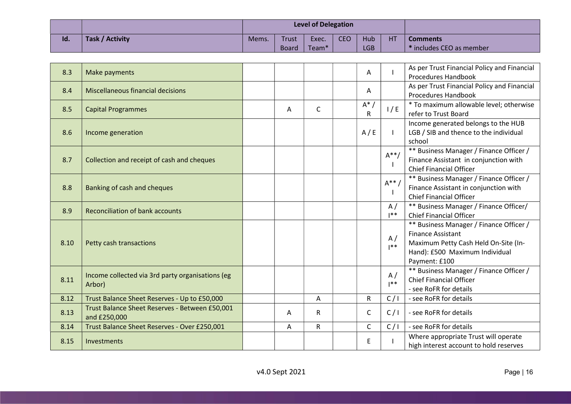|     |                 |       |              | <b>Level of Delegation</b> |     |            |    |                          |
|-----|-----------------|-------|--------------|----------------------------|-----|------------|----|--------------------------|
| Id. | Task / Activity | Mems. | Trust        | Exec.                      | CEO | Hub        | HT | <b>Comments</b>          |
|     |                 |       | <b>Board</b> | Team <sup>*</sup>          |     | <b>LGB</b> |    | * includes CEO as member |

| 8.3  | Make payments                                                  |   |              | A            |                 | As per Trust Financial Policy and Financial<br>Procedures Handbook                                                                                             |
|------|----------------------------------------------------------------|---|--------------|--------------|-----------------|----------------------------------------------------------------------------------------------------------------------------------------------------------------|
| 8.4  | Miscellaneous financial decisions                              |   |              | Α            |                 | As per Trust Financial Policy and Financial<br><b>Procedures Handbook</b>                                                                                      |
| 8.5  | <b>Capital Programmes</b>                                      | A | $\mathsf{C}$ | $A^*$<br>R   | 1/E             | * To maximum allowable level; otherwise<br>refer to Trust Board                                                                                                |
| 8.6  | Income generation                                              |   |              | A/E          | $\mathbf{I}$    | Income generated belongs to the HUB<br>LGB / SIB and thence to the individual<br>school                                                                        |
| 8.7  | Collection and receipt of cash and cheques                     |   |              |              | $A^{**}$ /<br>H | ** Business Manager / Finance Officer /<br>Finance Assistant in conjunction with<br><b>Chief Financial Officer</b>                                             |
| 8.8  | Banking of cash and cheques                                    |   |              |              | $A^{**}$ /<br>I | ** Business Manager / Finance Officer /<br>Finance Assistant in conjunction with<br><b>Chief Financial Officer</b>                                             |
| 8.9  | <b>Reconciliation of bank accounts</b>                         |   |              |              | A/<br>$1**$     | ** Business Manager / Finance Officer/<br><b>Chief Financial Officer</b>                                                                                       |
| 8.10 | Petty cash transactions                                        |   |              |              | A/<br>$1**$     | ** Business Manager / Finance Officer /<br><b>Finance Assistant</b><br>Maximum Petty Cash Held On-Site (In-<br>Hand): £500 Maximum Individual<br>Payment: £100 |
| 8.11 | Income collected via 3rd party organisations (eg<br>Arbor)     |   |              |              | A/<br>$1**$     | ** Business Manager / Finance Officer /<br><b>Chief Financial Officer</b><br>- see RoFR for details                                                            |
| 8.12 | Trust Balance Sheet Reserves - Up to £50,000                   |   | Α            | $\mathsf R$  | C/1             | - see RoFR for details                                                                                                                                         |
| 8.13 | Trust Balance Sheet Reserves - Between £50,001<br>and £250,000 | A | R            | $\mathsf{C}$ | C/1             | - see RoFR for details                                                                                                                                         |
| 8.14 | Trust Balance Sheet Reserves - Over £250,001                   | A | $\mathsf{R}$ | $\mathsf{C}$ | C/1             | - see RoFR for details                                                                                                                                         |
| 8.15 | Investments                                                    |   |              | Е            |                 | Where appropriate Trust will operate<br>high interest account to hold reserves                                                                                 |